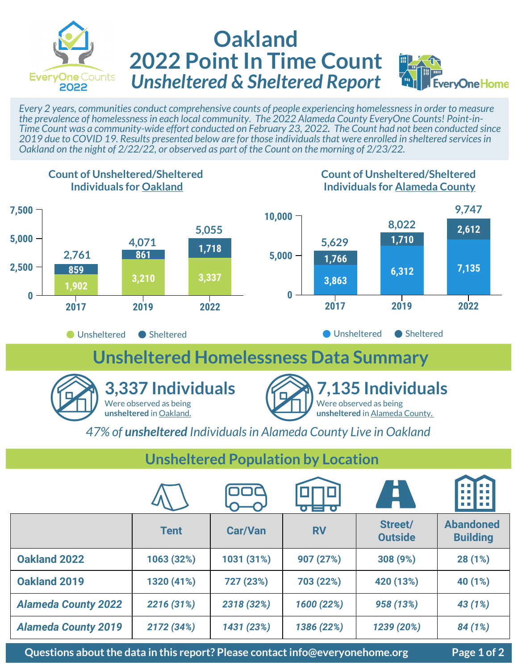

## **Oakland 2022 Point In Time Count** *Unsheltered & Sheltered Report*



*Every 2 years, communities conduct comprehensive counts of people experiencing homelessness in order to measure the prevalence of homelessness in each local community. The 2022 Alameda County EveryOne Counts! Point-in-Time Count was a community-wide effort conducted on February 23, 2022. The Count had not been conducted since 2019 due to COVID 19. Results presented below are for those individuals that were enrolled in sheltered services in Oakland on the night of 2/22/22, or observed as part of the Count on the morning of 2/23/22.* 



## **Unsheltered Population by Location**

|                            |             |                | $\mathbf{O}$ $=$ $\mathbf{O}$ | <b>AT</b>                 | <b>CONTRACTOR</b><br>m m            |
|----------------------------|-------------|----------------|-------------------------------|---------------------------|-------------------------------------|
|                            | <b>Tent</b> | <b>Car/Van</b> | <b>RV</b>                     | Street/<br><b>Outside</b> | <b>Abandoned</b><br><b>Building</b> |
| <b>Oakland 2022</b>        | 1063 (32%)  | 1031 (31%)     | 907 (27%)                     | 308 (9%)                  | 28 (1%)                             |
| Oakland 2019               | 1320 (41%)  | 727 (23%)      | 703 (22%)                     | 420 (13%)                 | 40 (1%)                             |
| <b>Alameda County 2022</b> | 2216 (31%)  | 2318 (32%)     | 1600 (22%)                    | 958 (13%)                 | 43 (1%)                             |
| <b>Alameda County 2019</b> | 2172 (34%)  | 1431 (23%)     | 1386 (22%)                    | 1239 (20%)                | 84 (1%)                             |

**Questions about the data in this report? Please contact info@everyonehome.org Page 1 of 2**